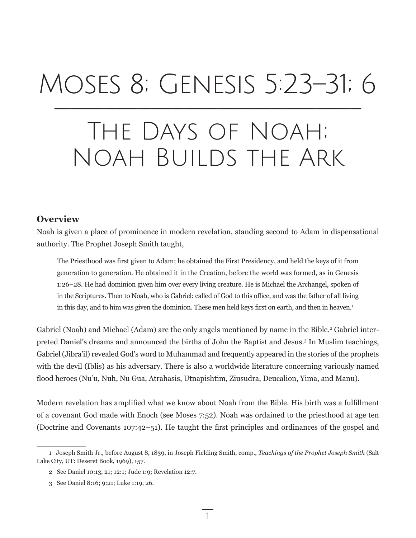# Moses 8; Genesis 5:23–31; 6

\_\_\_\_\_\_\_\_\_\_\_\_\_\_\_\_\_\_\_\_\_\_\_\_\_\_\_\_\_\_\_\_\_\_\_\_\_\_\_\_\_\_\_\_\_\_\_\_\_\_\_\_\_\_\_\_\_\_\_\_\_\_\_\_\_\_\_\_\_\_\_\_\_\_\_\_\_\_\_\_\_\_\_\_\_\_\_\_\_\_\_\_\_\_\_\_

## The Days of Noah; Noah Builds the Ark

## **Overview**

Noah is given a place of prominence in modern revelation, standing second to Adam in dispensational authority. The Prophet Joseph Smith taught,

The Priesthood was first given to Adam; he obtained the First Presidency, and held the keys of it from generation to generation. He obtained it in the Creation, before the world was formed, as in Genesis 1:26–28. He had dominion given him over every living creature. He is Michael the Archangel, spoken of in the Scriptures. Then to Noah, who is Gabriel: called of God to this office, and was the father of all living in this day, and to him was given the dominion. These men held keys first on earth, and then in heaven.<sup>1</sup>

Gabriel (Noah) and Michael (Adam) are the only angels mentioned by name in the Bible.<sup>2</sup> Gabriel interpreted Daniel's dreams and announced the births of John the Baptist and Jesus.<sup>3</sup> In Muslim teachings, Gabriel (Jibra'il) revealed God's word to Muhammad and frequently appeared in the stories of the prophets with the devil (Iblis) as his adversary. There is also a worldwide literature concerning variously named flood heroes (Nu'u, Nuh, Nu Gua, Atrahasis, Utnapishtim, Ziusudra, Deucalion, Yima, and Manu).

Modern revelation has amplified what we know about Noah from the Bible. His birth was a fulfillment of a covenant God made with Enoch (see Moses 7:52). Noah was ordained to the priesthood at age ten (Doctrine and Covenants 107:42–51). He taught the first principles and ordinances of the gospel and

1

<sup>1</sup> Joseph Smith Jr., before August 8, 1839, in Joseph Fielding Smith, comp., *Teachings of the Prophet Joseph Smith* (Salt Lake City, UT: Deseret Book, 1969), 157.

<sup>2</sup> See Daniel 10:13, 21; 12:1; Jude 1:9; Revelation 12:7.

<sup>3</sup> See Daniel 8:16; 9:21; Luke 1:19, 26.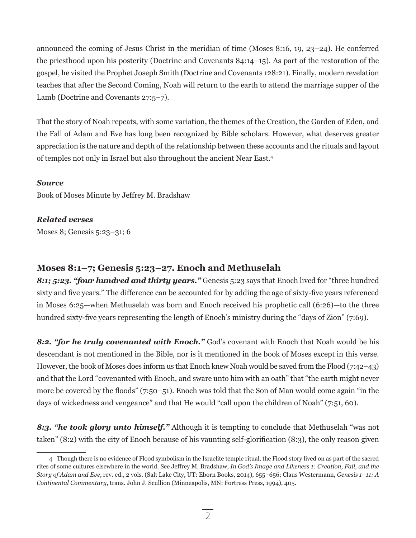announced the coming of Jesus Christ in the meridian of time (Moses 8:16, 19, 23–24). He conferred the priesthood upon his posterity (Doctrine and Covenants 84:14–15). As part of the restoration of the gospel, he visited the Prophet Joseph Smith (Doctrine and Covenants 128:21). Finally, modern revelation teaches that after the Second Coming, Noah will return to the earth to attend the marriage supper of the Lamb (Doctrine and Covenants 27:5–7).

That the story of Noah repeats, with some variation, the themes of the Creation, the Garden of Eden, and the Fall of Adam and Eve has long been recognized by Bible scholars. However, what deserves greater appreciation is the nature and depth of the relationship between these accounts and the rituals and layout of temples not only in Israel but also throughout the ancient Near East.4

## *Source*

Book of Moses Minute by Jeffrey M. Bradshaw

## *Related verses*

Moses 8; Genesis 5:23–31; 6

## **Moses 8:1–7; Genesis 5:23–27. Enoch and Methuselah**

*8:1; 5:23. "four hundred and thirty years."* Genesis 5:23 says that Enoch lived for "three hundred sixty and five years." The difference can be accounted for by adding the age of sixty-five years referenced in Moses 6:25—when Methuselah was born and Enoch received his prophetic call (6:26)—to the three hundred sixty-five years representing the length of Enoch's ministry during the "days of Zion" (7:69).

8:2. "for he truly covenanted with Enoch." God's covenant with Enoch that Noah would be his descendant is not mentioned in the Bible, nor is it mentioned in the book of Moses except in this verse. However, the book of Moses does inform us that Enoch knew Noah would be saved from the Flood (7:42–43) and that the Lord "covenanted with Enoch, and sware unto him with an oath" that "the earth might never more be covered by the floods" (7:50–51). Enoch was told that the Son of Man would come again "in the days of wickedness and vengeance" and that He would "call upon the children of Noah" (7:51, 60).

*8:3. "he took glory unto himself."* Although it is tempting to conclude that Methuselah "was not taken" (8:2) with the city of Enoch because of his vaunting self-glorification (8:3), the only reason given

<sup>4</sup> Though there is no evidence of Flood symbolism in the Israelite temple ritual, the Flood story lived on as part of the sacred rites of some cultures elsewhere in the world. See Jeffrey M. Bradshaw, *In God's Image and Likeness 1: Creation, Fall, and the Story of Adam and Eve*, rev. ed., 2 vols. (Salt Lake City, UT: Eborn Books, 2014), 655–656; Claus Westermann, *Genesis 1–11: A Continental Commentary*, trans. John J. Scullion (Minneapolis, MN: Fortress Press, 1994), 405.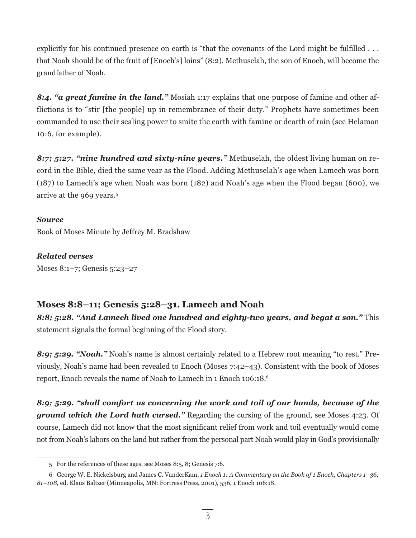explicitly for his continued presence on earth is "that the covenants of the Lord might be fulfilled . . . that Noah should be of the fruit of [Enoch's] loins" (8:2). Methuselah, the son of Enoch, will become the grandfather of Noah.

*8:4. "a great famine in the land."* Mosiah 1:17 explains that one purpose of famine and other afflictions is to "stir [the people] up in remembrance of their duty." Prophets have sometimes been commanded to use their sealing power to smite the earth with famine or dearth of rain (see Helaman 10:6, for example).

*8:7; 5:27. "nine hundred and sixty-nine years."* Methuselah, the oldest living human on record in the Bible, died the same year as the Flood. Adding Methuselah's age when Lamech was born (187) to Lamech's age when Noah was born (182) and Noah's age when the Flood began (600), we arrive at the 969 years.5

## *Source*

Book of Moses Minute by Jeffrey M. Bradshaw

## *Related verses*

Moses 8:1–7; Genesis 5:23–27

## **Moses 8:8–11; Genesis 5:28–31. Lamech and Noah**

*8:8; 5:28. "And Lamech lived one hundred and eighty-two years, and begat a son."* This statement signals the formal beginning of the Flood story.

*8:9; 5:29. "Noah."* Noah's name is almost certainly related to a Hebrew root meaning "to rest." Previously, Noah's name had been revealed to Enoch (Moses 7:42–43). Consistent with the book of Moses report, Enoch reveals the name of Noah to Lamech in 1 Enoch 106:18.<sup>6</sup>

*8:9; 5:29. "shall comfort us concerning the work and toil of our hands, because of the ground which the Lord hath cursed."* Regarding the cursing of the ground, see Moses 4:23. Of course, Lamech did not know that the most significant relief from work and toil eventually would come not from Noah's labors on the land but rather from the personal part Noah would play in God's provisionally

<sup>5</sup> For the references of these ages, see Moses 8:5, 8; Genesis 7:6.

<sup>6</sup> George W. E. Nickelsburg and James C. VanderKam, *1 Enoch 1: A Commentary on the Book of 1 Enoch, Chapters 1–36; 81–108*, ed. Klaus Baltzer (Minneapolis, MN: Fortress Press, 2001), 536, 1 Enoch 106:18.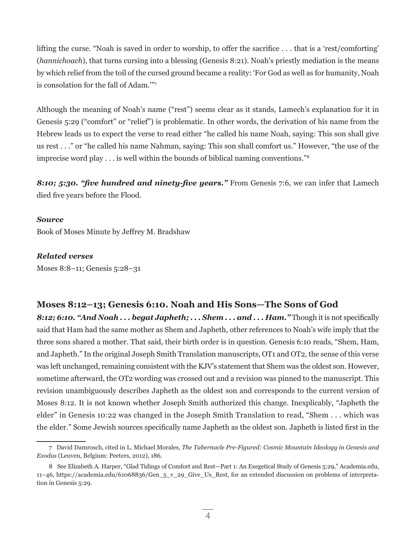lifting the curse. "Noah is saved in order to worship, to offer the sacrifice . . . that is a 'rest/comforting' (*hannichoach*), that turns cursing into a blessing (Genesis 8:21). Noah's priestly mediation is the means by which relief from the toil of the cursed ground became a reality: 'For God as well as for humanity, Noah is consolation for the fall of Adam.'"7

Although the meaning of Noah's name ("rest") seems clear as it stands, Lamech's explanation for it in Genesis 5:29 ("comfort" or "relief") is problematic. In other words, the derivation of his name from the Hebrew leads us to expect the verse to read either "he called his name Noah, saying: This son shall give us rest . . ." or "he called his name Nahman, saying: This son shall comfort us." However, "the use of the imprecise word play . . . is well within the bounds of biblical naming conventions."<sup>8</sup>

**8:10; 5:30. "five hundred and ninety-five years."** From Genesis 7:6, we can infer that Lamech died five years before the Flood.

#### *Source*

Book of Moses Minute by Jeffrey M. Bradshaw

#### *Related verses*

Moses 8:8–11; Genesis 5:28–31

## **Moses 8:12–13; Genesis 6:10. Noah and His Sons—The Sons of God**

*8:12; 6:10. "And Noah . . . begat Japheth; . . . Shem . . . and . . . Ham."* Though it is not specifically said that Ham had the same mother as Shem and Japheth, other references to Noah's wife imply that the three sons shared a mother. That said, their birth order is in question. Genesis 6:10 reads, "Shem, Ham, and Japheth." In the original Joseph Smith Translation manuscripts, OT1 and OT2, the sense of this verse was left unchanged, remaining consistent with the KJV's statement that Shem was the oldest son. However, sometime afterward, the OT2 wording was crossed out and a revision was pinned to the manuscript. This revision unambiguously describes Japheth as the oldest son and corresponds to the current version of Moses 8:12. It is not known whether Joseph Smith authorized this change. Inexplicably, "Japheth the elder" in Genesis 10:22 was changed in the Joseph Smith Translation to read, "Shem . . . which was the elder." Some Jewish sources specifically name Japheth as the oldest son. Japheth is listed first in the

<sup>7</sup> David Damrosch, cited in L. Michael Morales, *The Tabernacle Pre-Figured: Cosmic Mountain Ideology in Genesis and Exodus* (Leuven, Belgium: Peeters, 2012), 186.

<sup>8</sup> See Elizabeth A. Harper, "Glad Tidings of Comfort and Rest—Part 1: An Exegetical Study of Genesis 5:29," Academia.edu, 11–46, https://academia.edu/61068836/Gen\_5\_v\_29\_Give\_Us\_Rest, for an extended discussion on problems of interpretation in Genesis 5:29.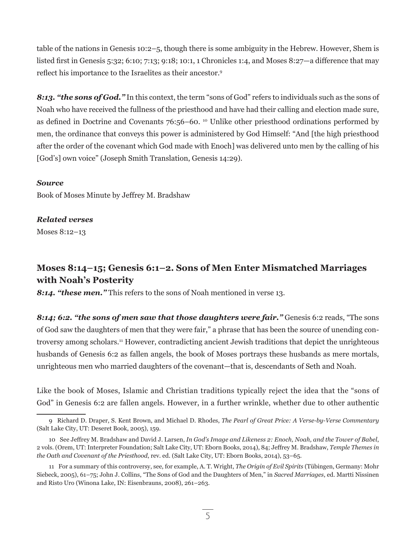table of the nations in Genesis 10:2–5, though there is some ambiguity in the Hebrew. However, Shem is listed first in Genesis 5:32; 6:10; 7:13; 9:18; 10:1, 1 Chronicles 1:4, and Moses 8:27—a difference that may reflect his importance to the Israelites as their ancestor.9

*8:13. "the sons of God."* In this context, the term "sons of God" refers to individuals such as the sons of Noah who have received the fullness of the priesthood and have had their calling and election made sure, as defined in Doctrine and Covenants 76:56–60. 10 Unlike other priesthood ordinations performed by men, the ordinance that conveys this power is administered by God Himself: "And [the high priesthood after the order of the covenant which God made with Enoch] was delivered unto men by the calling of his [God's] own voice" (Joseph Smith Translation, Genesis 14:29).

## *Source*

Book of Moses Minute by Jeffrey M. Bradshaw

## *Related verses*

Moses 8:12–13

## **Moses 8:14–15; Genesis 6:1–2. Sons of Men Enter Mismatched Marriages with Noah's Posterity**

*8:14. "these men."* This refers to the sons of Noah mentioned in verse 13.

*8:14; 6:2. "the sons of men saw that those daughters were fair."* Genesis 6:2 reads, "The sons of God saw the daughters of men that they were fair," a phrase that has been the source of unending controversy among scholars.11 However, contradicting ancient Jewish traditions that depict the unrighteous husbands of Genesis 6:2 as fallen angels, the book of Moses portrays these husbands as mere mortals, unrighteous men who married daughters of the covenant—that is, descendants of Seth and Noah.

Like the book of Moses, Islamic and Christian traditions typically reject the idea that the "sons of God" in Genesis 6:2 are fallen angels. However, in a further wrinkle, whether due to other authentic

<sup>9</sup> Richard D. Draper, S. Kent Brown, and Michael D. Rhodes, *The Pearl of Great Price: A Verse-by-Verse Commentary* (Salt Lake City, UT: Deseret Book, 2005), 159.

<sup>10</sup> See Jeffrey M. Bradshaw and David J. Larsen, *In God's Image and Likeness 2: Enoch, Noah, and the Tower of Babel*, 2 vols. (Orem, UT: Interpreter Foundation; Salt Lake City, UT: Eborn Books, 2014), 84; Jeffrey M. Bradshaw, *Temple Themes in the Oath and Covenant of the Priesthood*, rev. ed. (Salt Lake City, UT: Eborn Books, 2014), 53–65.

<sup>11</sup> For a summary of this controversy, see, for example, A. T. Wright, *The Origin of Evil Spirits* (Tübingen, Germany: Mohr Siebeck, 2005), 61–75; John J. Collins, "The Sons of God and the Daughters of Men," in *Sacred Marriages*, ed. Martti Nissinen and Risto Uro (Winona Lake, IN: Eisenbrauns, 2008), 261–263.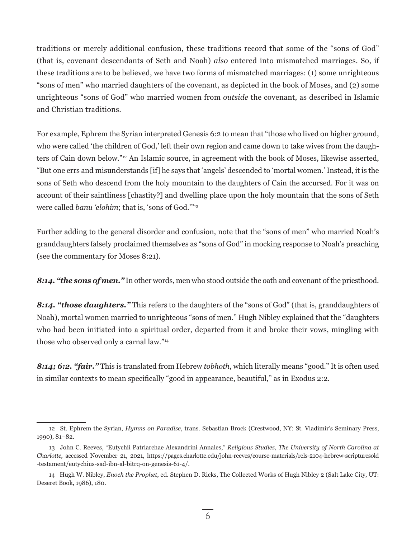traditions or merely additional confusion, these traditions record that some of the "sons of God" (that is, covenant descendants of Seth and Noah) *also* entered into mismatched marriages. So, if these traditions are to be believed, we have two forms of mismatched marriages: (1) some unrighteous "sons of men" who married daughters of the covenant, as depicted in the book of Moses, and (2) some unrighteous "sons of God" who married women from *outside* the covenant, as described in Islamic and Christian traditions.

For example, Ephrem the Syrian interpreted Genesis 6:2 to mean that "those who lived on higher ground, who were called 'the children of God,' left their own region and came down to take wives from the daughters of Cain down below."<sup>12</sup> An Islamic source, in agreement with the book of Moses, likewise asserted, "But one errs and misunderstands [if] he says that 'angels' descended to 'mortal women.' Instead, it is the sons of Seth who descend from the holy mountain to the daughters of Cain the accursed. For it was on account of their saintliness [chastity?] and dwelling place upon the holy mountain that the sons of Seth were called *banu 'elohim*; that is, 'sons of God.'"<sup>13</sup>

Further adding to the general disorder and confusion, note that the "sons of men" who married Noah's granddaughters falsely proclaimed themselves as "sons of God" in mocking response to Noah's preaching (see the commentary for Moses 8:21).

8:14. "the sons of men." In other words, men who stood outside the oath and covenant of the priesthood.

*8:14. "those daughters."* This refers to the daughters of the "sons of God" (that is, granddaughters of Noah), mortal women married to unrighteous "sons of men." Hugh Nibley explained that the "daughters who had been initiated into a spiritual order, departed from it and broke their vows, mingling with those who observed only a carnal law."14

*8:14; 6:2. "fair."* This is translated from Hebrew *tobhoth*, which literally means "good." It is often used in similar contexts to mean specifically "good in appearance, beautiful," as in Exodus 2:2.

<sup>12</sup> St. Ephrem the Syrian, *Hymns on Paradise*, trans. Sebastian Brock (Crestwood, NY: St. Vladimir's Seminary Press, 1990), 81–82.

<sup>13</sup> John C. Reeves, "Eutychii Patriarchae Alexandrini Annales," *Religious Studies, The University of North Carolina at Charlotte*, accessed November 21, 2021, https://pages.charlotte.edu/john-reeves/course-materials/rels-2104-hebrew-scripturesold -testament/eutychius-sad-ibn-al-bitrq-on-genesis-61-4/.

<sup>14</sup> Hugh W. Nibley, *Enoch the Prophet*, ed. Stephen D. Ricks, The Collected Works of Hugh Nibley 2 (Salt Lake City, UT: Deseret Book, 1986), 180.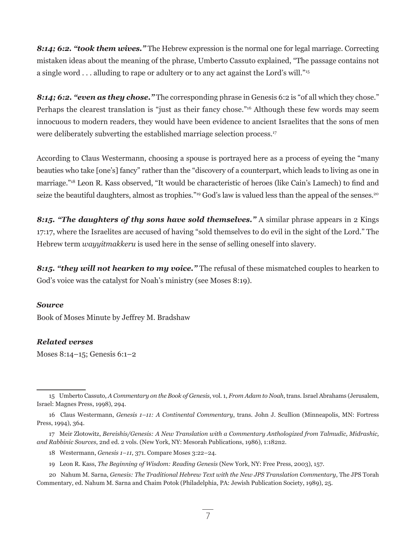*8:14; 6:2. "took them wives."* The Hebrew expression is the normal one for legal marriage. Correcting mistaken ideas about the meaning of the phrase, Umberto Cassuto explained, "The passage contains not a single word . . . alluding to rape or adultery or to any act against the Lord's will."15

*8:14; 6:2. "even as they chose."* The corresponding phrase in Genesis 6:2 is "of all which they chose." Perhaps the clearest translation is "just as their fancy chose."16 Although these few words may seem innocuous to modern readers, they would have been evidence to ancient Israelites that the sons of men were deliberately subverting the established marriage selection process.<sup>17</sup>

According to Claus Westermann, choosing a spouse is portrayed here as a process of eyeing the "many beauties who take [one's] fancy" rather than the "discovery of a counterpart, which leads to living as one in marriage."<sup>18</sup> Leon R. Kass observed, "It would be characteristic of heroes (like Cain's Lamech) to find and seize the beautiful daughters, almost as trophies."<sup>19</sup> God's law is valued less than the appeal of the senses.<sup>20</sup>

**8:15. "The daughters of thy sons have sold themselves."** A similar phrase appears in 2 Kings 17:17, where the Israelites are accused of having "sold themselves to do evil in the sight of the Lord." The Hebrew term *wayyitmakkeru* is used here in the sense of selling oneself into slavery.

*8:15. "they will not hearken to my voice."* The refusal of these mismatched couples to hearken to God's voice was the catalyst for Noah's ministry (see Moses 8:19).

## *Source*

Book of Moses Minute by Jeffrey M. Bradshaw

## *Related verses*

Moses 8:14–15; Genesis 6:1–2

<sup>15</sup> Umberto Cassuto, *A Commentary on the Book of Genesis*, vol. 1, *From Adam to Noah*, trans. Israel Abrahams (Jerusalem, Israel: Magnes Press, 1998), 294.

<sup>16</sup> Claus Westermann, *Genesis 1–11: A Continental Commentary*, trans. John J. Scullion (Minneapolis, MN: Fortress Press, 1994), 364.

<sup>17</sup> Meir Zlotowitz, *Bereishis/Genesis: A New Translation with a Commentary Anthologized from Talmudic, Midrashic, and Rabbinic Sources*, 2nd ed. 2 vols. (New York, NY: Mesorah Publications, 1986), 1:182n2.

<sup>18</sup> Westermann, *Genesis 1–11*, 371. Compare Moses 3:22–24.

<sup>19</sup> Leon R. Kass, *The Beginning of Wisdom: Reading Genesis* (New York, NY: Free Press, 2003), 157.

<sup>20</sup> Nahum M. Sarna, *Genesis: The Traditional Hebrew Text with the New JPS Translation Commentary*, The JPS Torah Commentary, ed. Nahum M. Sarna and Chaim Potok (Philadelphia, PA: Jewish Publication Society, 1989), 25.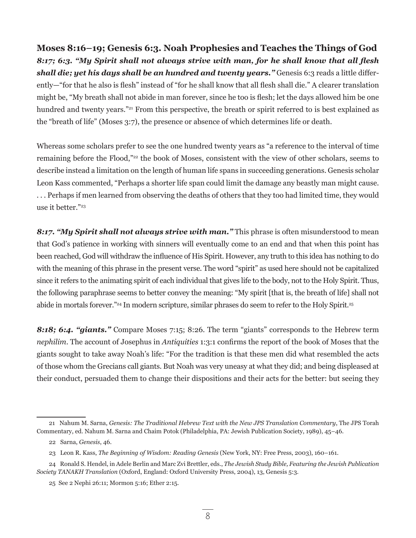**Moses 8:16–19; Genesis 6:3. Noah Prophesies and Teaches the Things of God**  *8:17; 6:3. "My Spirit shall not always strive with man, for he shall know that all flesh shall die; yet his days shall be an hundred and twenty years."* Genesis 6:3 reads a little differently—"for that he also is flesh" instead of "for he shall know that all flesh shall die." A clearer translation might be, "My breath shall not abide in man forever, since he too is flesh; let the days allowed him be one hundred and twenty years."<sup>21</sup> From this perspective, the breath or spirit referred to is best explained as the "breath of life" (Moses 3:7), the presence or absence of which determines life or death.

Whereas some scholars prefer to see the one hundred twenty years as "a reference to the interval of time remaining before the Flood,"<sup>22</sup> the book of Moses, consistent with the view of other scholars, seems to describe instead a limitation on the length of human life spans in succeeding generations. Genesis scholar Leon Kass commented, "Perhaps a shorter life span could limit the damage any beastly man might cause. . . . Perhaps if men learned from observing the deaths of others that they too had limited time, they would use it better."<sup>23</sup>

*8:17. "My Spirit shall not always strive with man."* This phrase is often misunderstood to mean that God's patience in working with sinners will eventually come to an end and that when this point has been reached, God will withdraw the influence of His Spirit. However, any truth to this idea has nothing to do with the meaning of this phrase in the present verse. The word "spirit" as used here should not be capitalized since it refers to the animating spirit of each individual that gives life to the body, not to the Holy Spirit. Thus, the following paraphrase seems to better convey the meaning: "My spirit [that is, the breath of life] shall not abide in mortals forever."<sup>24</sup> In modern scripture, similar phrases do seem to refer to the Holy Spirit.<sup>25</sup>

*8:18; 6:4. "giants."* Compare Moses 7:15; 8:26. The term "giants" corresponds to the Hebrew term *nephilim*. The account of Josephus in *Antiquities* 1:3:1 confirms the report of the book of Moses that the giants sought to take away Noah's life: "For the tradition is that these men did what resembled the acts of those whom the Grecians call giants. But Noah was very uneasy at what they did; and being displeased at their conduct, persuaded them to change their dispositions and their acts for the better: but seeing they

<sup>21</sup> Nahum M. Sarna, *Genesis: The Traditional Hebrew Text with the New JPS Translation Commentary*, The JPS Torah Commentary, ed. Nahum M. Sarna and Chaim Potok (Philadelphia, PA: Jewish Publication Society, 1989), 45–46.

<sup>22</sup> Sarna, *Genesis*, 46.

<sup>23</sup> Leon R. Kass, *The Beginning of Wisdom: Reading Genesis* (New York, NY: Free Press, 2003), 160–161.

<sup>24</sup> Ronald S. Hendel, in Adele Berlin and Marc Zvi Brettler, eds., *The Jewish Study Bible, Featuring the Jewish Publication Society TANAKH Translation* (Oxford, England: Oxford University Press, 2004), 13, Genesis 5:3.

<sup>25</sup> See 2 Nephi 26:11; Mormon 5:16; Ether 2:15.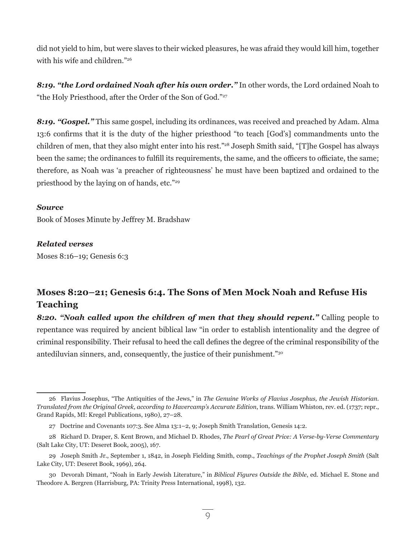did not yield to him, but were slaves to their wicked pleasures, he was afraid they would kill him, together with his wife and children."26

*8:19. "the Lord ordained Noah after his own order."* In other words, the Lord ordained Noah to "the Holy Priesthood, after the Order of the Son of God."27

*8:19. "Gospel."* This same gospel, including its ordinances, was received and preached by Adam. Alma 13:6 confirms that it is the duty of the higher priesthood "to teach [God's] commandments unto the children of men, that they also might enter into his rest."<sup>28</sup> Joseph Smith said, "[T]he Gospel has always been the same; the ordinances to fulfill its requirements, the same, and the officers to officiate, the same; therefore, as Noah was 'a preacher of righteousness' he must have been baptized and ordained to the priesthood by the laying on of hands, etc."29

## *Source*

Book of Moses Minute by Jeffrey M. Bradshaw

## *Related verses*

Moses 8:16–19; Genesis 6:3

## **Moses 8:20–21; Genesis 6:4. The Sons of Men Mock Noah and Refuse His Teaching**

*8:20. "Noah called upon the children of men that they should repent."* Calling people to repentance was required by ancient biblical law "in order to establish intentionality and the degree of criminal responsibility. Their refusal to heed the call defines the degree of the criminal responsibility of the antediluvian sinners, and, consequently, the justice of their punishment."30

<sup>26</sup> Flavius Josephus, "The Antiquities of the Jews," in *The Genuine Works of Flavius Josephus, the Jewish Historian. Translated from the Original Greek, according to Havercamp's Accurate Edition*, trans. William Whiston, rev. ed. (1737; repr., Grand Rapids, MI: Kregel Publications, 1980), 27–28.

<sup>27</sup> Doctrine and Covenants 107:3. See Alma 13:1–2, 9; Joseph Smith Translation, Genesis 14:2.

<sup>28</sup> Richard D. Draper, S. Kent Brown, and Michael D. Rhodes, *The Pearl of Great Price: A Verse-by-Verse Commentary* (Salt Lake City, UT: Deseret Book, 2005), 167.

<sup>29</sup> Joseph Smith Jr., September 1, 1842, in Joseph Fielding Smith, comp., *Teachings of the Prophet Joseph Smith* (Salt Lake City, UT: Deseret Book, 1969), 264.

<sup>30</sup> Devorah Dimant, "Noah in Early Jewish Literature," in *Biblical Figures Outside the Bible*, ed. Michael E. Stone and Theodore A. Bergren (Harrisburg, PA: Trinity Press International, 1998), 132.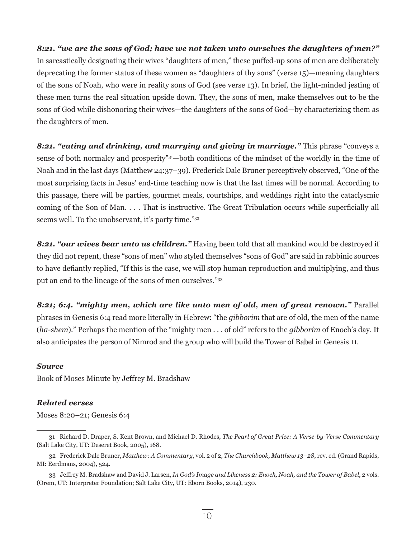*8:21. "we are the sons of God; have we not taken unto ourselves the daughters of men?"* In sarcastically designating their wives "daughters of men," these puffed-up sons of men are deliberately deprecating the former status of these women as "daughters of thy sons" (verse 15)—meaning daughters of the sons of Noah, who were in reality sons of God (see verse 13). In brief, the light-minded jesting of these men turns the real situation upside down. They, the sons of men, make themselves out to be the sons of God while dishonoring their wives—the daughters of the sons of God—by characterizing them as the daughters of men.

*8:21. "eating and drinking, and marrying and giving in marriage."* This phrase "conveys a sense of both normalcy and prosperity"<sup>31</sup>—both conditions of the mindset of the worldly in the time of Noah and in the last days (Matthew 24:37–39). Frederick Dale Bruner perceptively observed, "One of the most surprising facts in Jesus' end-time teaching now is that the last times will be normal. According to this passage, there will be parties, gourmet meals, courtships, and weddings right into the cataclysmic coming of the Son of Man. . . . That is instructive. The Great Tribulation occurs while superficially all seems well. To the unobservant, it's party time."<sup>32</sup>

*8:21. "our wives bear unto us children."* Having been told that all mankind would be destroyed if they did not repent, these "sons of men" who styled themselves "sons of God" are said in rabbinic sources to have defiantly replied, "If this is the case, we will stop human reproduction and multiplying, and thus put an end to the lineage of the sons of men ourselves."<sup>33</sup>

*8:21; 6:4. "mighty men, which are like unto men of old, men of great renown."* Parallel phrases in Genesis 6:4 read more literally in Hebrew: "the *gibborim* that are of old, the men of the name (*ha-shem*)." Perhaps the mention of the "mighty men . . . of old" refers to the *gibborim* of Enoch's day. It also anticipates the person of Nimrod and the group who will build the Tower of Babel in Genesis 11.

## *Source*

Book of Moses Minute by Jeffrey M. Bradshaw

## *Related verses*

Moses 8:20–21; Genesis 6:4

<sup>31</sup> Richard D. Draper, S. Kent Brown, and Michael D. Rhodes, *The Pearl of Great Price: A Verse-by-Verse Commentary* (Salt Lake City, UT: Deseret Book, 2005), 168.

<sup>32</sup> Frederick Dale Bruner, *Matthew: A Commentary*, vol. 2 of 2, *The Churchbook, Matthew 13–28*, rev. ed. (Grand Rapids, MI: Eerdmans, 2004), 524.

<sup>33</sup> Jeffrey M. Bradshaw and David J. Larsen, *In God's Image and Likeness 2: Enoch, Noah, and the Tower of Babel*, 2 vols. (Orem, UT: Interpreter Foundation; Salt Lake City, UT: Eborn Books, 2014), 230.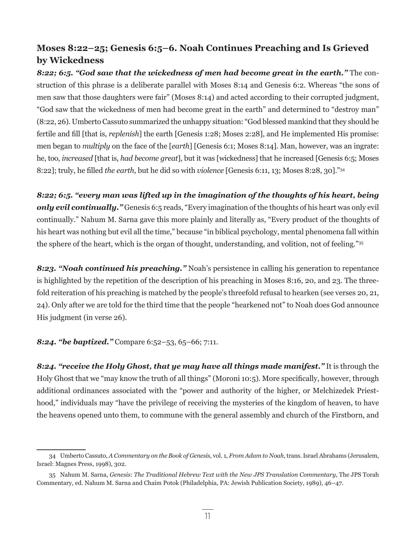## **Moses 8:22–25; Genesis 6:5–6. Noah Continues Preaching and Is Grieved by Wickedness**

*8:22; 6:5. "God saw that the wickedness of men had become great in the earth."* The construction of this phrase is a deliberate parallel with Moses 8:14 and Genesis 6:2. Whereas "the sons of men saw that those daughters were fair" (Moses 8:14) and acted according to their corrupted judgment, "God saw that the wickedness of men had become great in the earth" and determined to "destroy man" (8:22, 26). Umberto Cassuto summarized the unhappy situation: "God blessed mankind that they should be fertile and fill [that is, *replenish*] the earth [Genesis 1:28; Moses 2:28], and He implemented His promise: men began to *multiply* on the face of the [*earth*] [Genesis 6:1; Moses 8:14]. Man, however, was an ingrate: he, too, *increased* [that is, *had become great*], but it was [wickedness] that he increased [Genesis 6:5; Moses 8:22]; truly, he filled *the earth*, but he did so with *violence* [Genesis 6:11, 13; Moses 8:28, 30]."34

*8:22; 6:5. "every man was lifted up in the imagination of the thoughts of his heart, being*  **only evil continually.**" Genesis 6:5 reads, "Every imagination of the thoughts of his heart was only evil continually." Nahum M. Sarna gave this more plainly and literally as, "Every product of the thoughts of his heart was nothing but evil all the time," because "in biblical psychology, mental phenomena fall within the sphere of the heart, which is the organ of thought, understanding, and volition, not of feeling."35

*8:23. "Noah continued his preaching."* Noah's persistence in calling his generation to repentance is highlighted by the repetition of the description of his preaching in Moses 8:16, 20, and 23. The threefold reiteration of his preaching is matched by the people's threefold refusal to hearken (see verses 20, 21, 24). Only after we are told for the third time that the people "hearkened not" to Noah does God announce His judgment (in verse 26).

*8:24. "be baptized."* Compare 6:52–53, 65–66; 7:11.

*8:24. "receive the Holy Ghost, that ye may have all things made manifest."* It is through the Holy Ghost that we "may know the truth of all things" (Moroni 10:5). More specifically, however, through additional ordinances associated with the "power and authority of the higher, or Melchizedek Priesthood," individuals may "have the privilege of receiving the mysteries of the kingdom of heaven, to have the heavens opened unto them, to commune with the general assembly and church of the Firstborn, and

<sup>34</sup> Umberto Cassuto, *A Commentary on the Book of Genesis*, vol. 1, *From Adam to Noah*, trans. Israel Abrahams (Jerusalem, Israel: Magnes Press, 1998), 302.

<sup>35</sup> Nahum M. Sarna, *Genesis*: *The Traditional Hebrew Text with the New JPS Translation Commentary*, The JPS Torah Commentary*,* ed. Nahum M. Sarna and Chaim Potok (Philadelphia, PA: Jewish Publication Society, 1989), 46–47.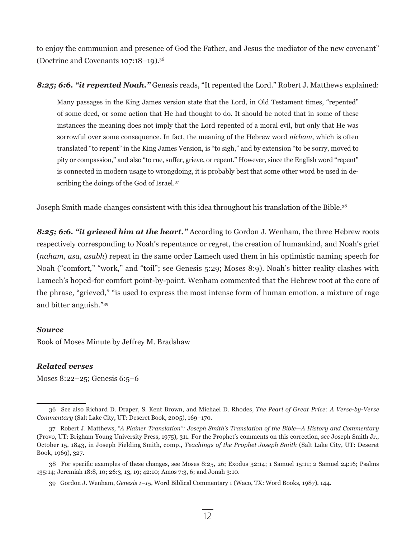to enjoy the communion and presence of God the Father, and Jesus the mediator of the new covenant" (Doctrine and Covenants 107:18–19).<sup>36</sup>

## *8:25; 6:6. "it repented Noah."* Genesis reads, "It repented the Lord." Robert J. Matthews explained:

Many passages in the King James version state that the Lord, in Old Testament times, "repented" of some deed, or some action that He had thought to do. It should be noted that in some of these instances the meaning does not imply that the Lord repented of a moral evil, but only that He was sorrowful over some consequence. In fact, the meaning of the Hebrew word *nicham*, which is often translated "to repent" in the King James Version, is "to sigh," and by extension "to be sorry, moved to pity or compassion," and also "to rue, suffer, grieve, or repent." However, since the English word "repent" is connected in modern usage to wrongdoing, it is probably best that some other word be used in describing the doings of the God of Israel.37

Joseph Smith made changes consistent with this idea throughout his translation of the Bible.38

*8:25; 6:6. "it grieved him at the heart."* According to Gordon J. Wenham, the three Hebrew roots respectively corresponding to Noah's repentance or regret, the creation of humankind, and Noah's grief (*naham, asa, asabh*) repeat in the same order Lamech used them in his optimistic naming speech for Noah ("comfort," "work," and "toil"; see Genesis 5:29; Moses 8:9). Noah's bitter reality clashes with Lamech's hoped-for comfort point-by-point. Wenham commented that the Hebrew root at the core of the phrase, "grieved," "is used to express the most intense form of human emotion, a mixture of rage and bitter anguish."39

## *Source*

Book of Moses Minute by Jeffrey M. Bradshaw

## *Related verses*

Moses 8:22–25; Genesis 6:5–6

<sup>36</sup> See also Richard D. Draper, S. Kent Brown, and Michael D. Rhodes, *The Pearl of Great Price: A Verse-by-Verse Commentary* (Salt Lake City, UT: Deseret Book, 2005), 169–170.

<sup>37</sup> Robert J. Matthews, *"A Plainer Translation": Joseph Smith's Translation of the Bible—A History and Commentary* (Provo, UT: Brigham Young University Press, 1975), 311. For the Prophet's comments on this correction, see Joseph Smith Jr., October 15, 1843, in Joseph Fielding Smith, comp., *Teachings of the Prophet Joseph Smith* (Salt Lake City, UT: Deseret Book, 1969), 327.

<sup>38</sup> For specific examples of these changes, see Moses 8:25, 26; Exodus 32:14; 1 Samuel 15:11; 2 Samuel 24:16; Psalms 135:14; Jeremiah 18:8, 10; 26:3, 13, 19; 42:10; Amos 7:3, 6; and Jonah 3:10.

<sup>39</sup> Gordon J. Wenham, *Genesis 1–15*, Word Biblical Commentary 1 (Waco, TX: Word Books, 1987), 144.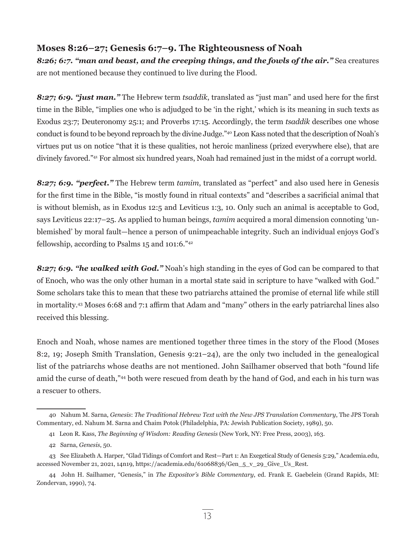## **Moses 8:26–27; Genesis 6:7–9. The Righteousness of Noah**

*8:26; 6:7. "man and beast, and the creeping things, and the fowls of the air."* Sea creatures are not mentioned because they continued to live during the Flood.

*8:27; 6:9. "just man."* The Hebrew term *tsaddik*, translated as "just man" and used here for the first time in the Bible, "implies one who is adjudged to be 'in the right,' which is its meaning in such texts as Exodus 23:7; Deuteronomy 25:1; and Proverbs 17:15. Accordingly, the term *tsaddik* describes one whose conduct is found to be beyond reproach by the divine Judge."40 Leon Kass noted that the description of Noah's virtues put us on notice "that it is these qualities, not heroic manliness (prized everywhere else), that are divinely favored."41 For almost six hundred years, Noah had remained just in the midst of a corrupt world.

*8:27; 6:9. "perfect."* The Hebrew term *tamim*, translated as "perfect" and also used here in Genesis for the first time in the Bible, "is mostly found in ritual contexts" and "describes a sacrificial animal that is without blemish, as in Exodus 12:5 and Leviticus 1:3, 10. Only such an animal is acceptable to God, says Leviticus 22:17–25. As applied to human beings, *tamim* acquired a moral dimension connoting 'unblemished' by moral fault—hence a person of unimpeachable integrity. Such an individual enjoys God's fellowship, according to Psalms 15 and 101:6."42

*8:27; 6:9. "he walked with God."* Noah's high standing in the eyes of God can be compared to that of Enoch, who was the only other human in a mortal state said in scripture to have "walked with God." Some scholars take this to mean that these two patriarchs attained the promise of eternal life while still in mortality.43 Moses 6:68 and 7:1 affirm that Adam and "many" others in the early patriarchal lines also received this blessing.

Enoch and Noah, whose names are mentioned together three times in the story of the Flood (Moses 8:2, 19; Joseph Smith Translation, Genesis 9:21–24), are the only two included in the genealogical list of the patriarchs whose deaths are not mentioned. John Sailhamer observed that both "found life amid the curse of death,"44 both were rescued from death by the hand of God, and each in his turn was a rescuer to others.

<sup>40</sup> Nahum M. Sarna, *Genesis*: *The Traditional Hebrew Text with the New JPS Translation Commentary*, The JPS Torah Commentary, ed. Nahum M. Sarna and Chaim Potok (Philadelphia, PA: Jewish Publication Society, 1989), 50.

<sup>41</sup> Leon R. Kass, *The Beginning of Wisdom: Reading Genesis* (New York, NY: Free Press, 2003), 163.

<sup>42</sup> Sarna, *Genesis*, 50.

<sup>43</sup> See Elizabeth A. Harper, "Glad Tidings of Comfort and Rest—Part 1: An Exegetical Study of Genesis 5:29*,*" Academia.edu, accessed November 21, 2021, 14n19, https://academia.edu/61068836/Gen\_5\_v\_29\_Give\_Us\_Rest.

<sup>44</sup> John H. Sailhamer, "Genesis," in *The Expositor's Bible Commentary*, ed. Frank E. Gaebelein (Grand Rapids, MI: Zondervan, 1990), 74.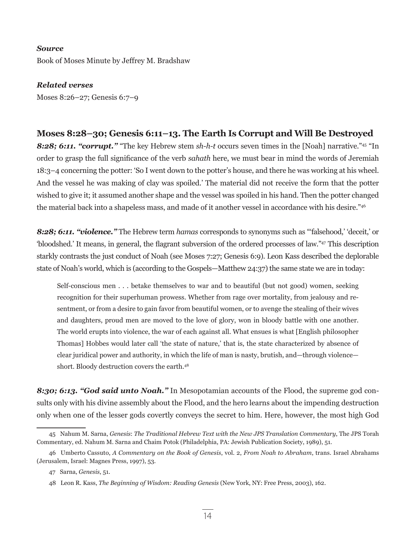#### *Source*

Book of Moses Minute by Jeffrey M. Bradshaw

*Related verses* Moses 8:26–27; Genesis 6:7–9

## **Moses 8:28–30; Genesis 6:11–13. The Earth Is Corrupt and Will Be Destroyed**

*8:28; 6:11. "corrupt."* "The key Hebrew stem *sh-h-t* occurs seven times in the [Noah] narrative."45 "In order to grasp the full significance of the verb *sahath* here, we must bear in mind the words of Jeremiah 18:3–4 concerning the potter: 'So I went down to the potter's house, and there he was working at his wheel. And the vessel he was making of clay was spoiled.' The material did not receive the form that the potter wished to give it; it assumed another shape and the vessel was spoiled in his hand. Then the potter changed the material back into a shapeless mass, and made of it another vessel in accordance with his desire."46

*8:28; 6:11. "violence."* The Hebrew term *hamas* corresponds to synonyms such as "'falsehood,' 'deceit,' or 'bloodshed.' It means, in general, the flagrant subversion of the ordered processes of law."47 This description starkly contrasts the just conduct of Noah (see Moses 7:27; Genesis 6:9). Leon Kass described the deplorable state of Noah's world, which is (according to the Gospels—Matthew 24:37) the same state we are in today:

Self-conscious men . . . betake themselves to war and to beautiful (but not good) women, seeking recognition for their superhuman prowess. Whether from rage over mortality, from jealousy and resentment, or from a desire to gain favor from beautiful women, or to avenge the stealing of their wives and daughters, proud men are moved to the love of glory, won in bloody battle with one another. The world erupts into violence, the war of each against all. What ensues is what [English philosopher Thomas] Hobbes would later call 'the state of nature,' that is, the state characterized by absence of clear juridical power and authority, in which the life of man is nasty, brutish, and—through violence short. Bloody destruction covers the earth.48

*8:30; 6:13. "God said unto Noah."* In Mesopotamian accounts of the Flood, the supreme god consults only with his divine assembly about the Flood, and the hero learns about the impending destruction only when one of the lesser gods covertly conveys the secret to him. Here, however, the most high God

<sup>45</sup> Nahum M. Sarna, *Genesis*: *The Traditional Hebrew Text with the New JPS Translation Commentary*, The JPS Torah Commentary, ed. Nahum M. Sarna and Chaim Potok (Philadelphia, PA: Jewish Publication Society, 1989), 51.

<sup>46</sup> Umberto Cassuto, *A Commentary on the Book of Genesis*, vol. 2, *From Noah to Abraham*, trans. Israel Abrahams (Jerusalem, Israel: Magnes Press, 1997), 53.

<sup>47</sup> Sarna, *Genesis*, 51.

<sup>48</sup> Leon R. Kass, *The Beginning of Wisdom: Reading Genesis* (New York, NY: Free Press, 2003), 162.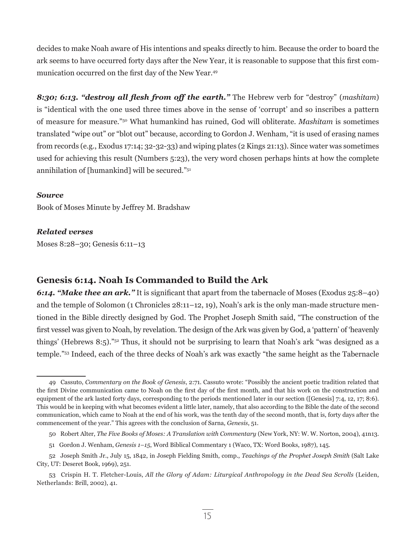decides to make Noah aware of His intentions and speaks directly to him. Because the order to board the ark seems to have occurred forty days after the New Year, it is reasonable to suppose that this first communication occurred on the first day of the New Year.49

*8:30; 6:13. "destroy all flesh from off the earth."* The Hebrew verb for "destroy" (*mashitam*) is "identical with the one used three times above in the sense of 'corrupt' and so inscribes a pattern of measure for measure."50 What humankind has ruined, God will obliterate. *Mashitam* is sometimes translated "wipe out" or "blot out" because, according to Gordon J. Wenham, "it is used of erasing names from records (e.g., Exodus 17:14; 32-32-33) and wiping plates (2 Kings 21:13). Since water was sometimes used for achieving this result (Numbers 5:23), the very word chosen perhaps hints at how the complete annihilation of [humankind] will be secured."51

#### *Source*

Book of Moses Minute by Jeffrey M. Bradshaw

## *Related verses*

Moses 8:28–30; Genesis 6:11–13

## **Genesis 6:14. Noah Is Commanded to Build the Ark**

*6:14. "Make thee an ark."* It is significant that apart from the tabernacle of Moses (Exodus 25:8–40) and the temple of Solomon (1 Chronicles 28:11–12, 19), Noah's ark is the only man-made structure mentioned in the Bible directly designed by God. The Prophet Joseph Smith said, "The construction of the first vessel was given to Noah, by revelation. The design of the Ark was given by God, a 'pattern' of 'heavenly things' (Hebrews 8:5)."52 Thus, it should not be surprising to learn that Noah's ark "was designed as a temple."53 Indeed, each of the three decks of Noah's ark was exactly "the same height as the Tabernacle

<sup>49</sup> Cassuto, *Commentary on the Book of Genesis*, 2:71. Cassuto wrote: "Possibly the ancient poetic tradition related that the first Divine communication came to Noah on the first day of the first month, and that his work on the construction and equipment of the ark lasted forty days, corresponding to the periods mentioned later in our section ([Genesis] 7:4, 12, 17; 8:6). This would be in keeping with what becomes evident a little later, namely, that also according to the Bible the date of the second communication, which came to Noah at the end of his work, was the tenth day of the second month, that is, forty days after the commencement of the year." This agrees with the conclusion of Sarna, *Genesis*, 51.

<sup>50</sup> Robert Alter, *The Five Books of Moses: A Translation with Commentary* (New York, NY: W. W. Norton, 2004), 41n13.

<sup>51</sup> Gordon J. Wenham, *Genesis 1–15*, Word Biblical Commentary 1 (Waco, TX: Word Books, 1987), 145.

<sup>52</sup> Joseph Smith Jr., July 15, 1842, in Joseph Fielding Smith, comp., *Teachings of the Prophet Joseph Smith* (Salt Lake City, UT: Deseret Book, 1969), 251.

<sup>53</sup> Crispin H. T. Fletcher-Louis, *All the Glory of Adam: Liturgical Anthropology in the Dead Sea Scrolls* (Leiden, Netherlands: Brill, 2002), 41.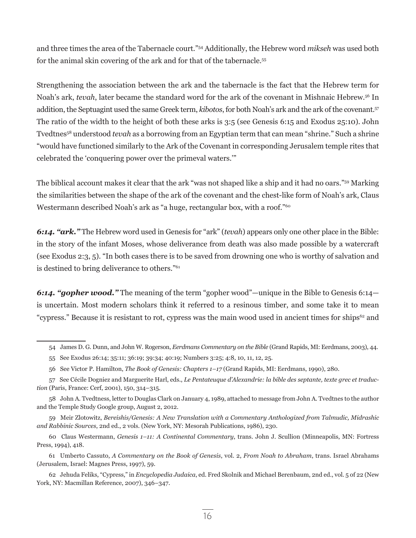and three times the area of the Tabernacle court."54 Additionally, the Hebrew word *mikseh* was used both for the animal skin covering of the ark and for that of the tabernacle.55

Strengthening the association between the ark and the tabernacle is the fact that the Hebrew term for Noah's ark, *tevah*, later became the standard word for the ark of the covenant in Mishnaic Hebrew.56 In addition, the Septuagint used the same Greek term, *kibotos*, for both Noah's ark and the ark of the covenant.57 The ratio of the width to the height of both these arks is 3:5 (see Genesis 6:15 and Exodus 25:10). John Tvedtnes<sup>58</sup> understood *tevah* as a borrowing from an Egyptian term that can mean "shrine." Such a shrine "would have functioned similarly to the Ark of the Covenant in corresponding Jerusalem temple rites that celebrated the 'conquering power over the primeval waters.'"

The biblical account makes it clear that the ark "was not shaped like a ship and it had no oars."59 Marking the similarities between the shape of the ark of the covenant and the chest-like form of Noah's ark, Claus Westermann described Noah's ark as "a huge, rectangular box, with a roof."<sup>60</sup>

*6:14. "ark."* The Hebrew word used in Genesis for "ark" (*tevah*) appears only one other place in the Bible: in the story of the infant Moses, whose deliverance from death was also made possible by a watercraft (see Exodus 2:3, 5). "In both cases there is to be saved from drowning one who is worthy of salvation and is destined to bring deliverance to others."<sup>61</sup>

**6:14. "gopher wood."** The meaning of the term "gopher wood"—unique in the Bible to Genesis 6:14 is uncertain. Most modern scholars think it referred to a resinous timber, and some take it to mean "cypress." Because it is resistant to rot, cypress was the main wood used in ancient times for ships<sup>62</sup> and

- 54 James D. G. Dunn, and John W. Rogerson, *Eerdmans Commentary on the Bible* (Grand Rapids, MI: Eerdmans, 2003), 44.
- 55 See Exodus 26:14; 35:11; 36:19; 39:34; 40:19; Numbers 3:25; 4:8, 10, 11, 12, 25.
- 56 See Victor P. Hamilton, *The Book of Genesis: Chapters 1–17* (Grand Rapids, MI: Eerdmans, 1990), 280.

<sup>57</sup> See Cécile Dogniez and Marguerite Harl, eds., *Le Pentateuque d'Alexandrie: la bible des septante, texte grec et traduction* (Paris, France: Cerf, 2001), 150, 314–315.

<sup>58</sup> John A. Tvedtness, letter to Douglas Clark on January 4, 1989, attached to message from John A. Tvedtnes to the author and the Temple Study Google group, August 2, 2012.

<sup>59</sup> Meir Zlotowitz, *Bereishis/Genesis: A New Translation with a Commentary Anthologized from Talmudic, Midrashic and Rabbinic Sources*, 2nd ed., 2 vols. (New York, NY: Mesorah Publications, 1986), 230.

<sup>60</sup> Claus Westermann, *Genesis 1–11: A Continental Commentary*, trans. John J. Scullion (Minneapolis, MN: Fortress Press, 1994), 418.

<sup>61</sup> Umberto Cassuto, *A Commentary on the Book of Genesis*, vol. 2, *From Noah to Abraham*, trans. Israel Abrahams (Jerusalem, Israel: Magnes Press, 1997), 59.

<sup>62</sup> Jehuda Feliks, "Cypress," in *Encyclopedia Judaica*, ed. Fred Skolnik and Michael Berenbaum, 2nd ed., vol. 5 of 22 (New York, NY: Macmillan Reference, 2007), 346–347.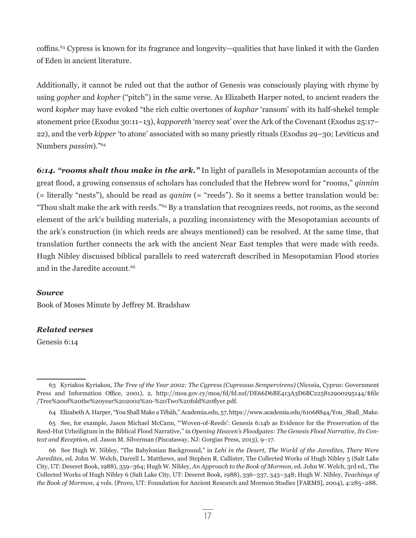coffins.<sup>63</sup> Cypress is known for its fragrance and longevity—qualities that have linked it with the Garden of Eden in ancient literature.

Additionally, it cannot be ruled out that the author of Genesis was consciously playing with rhyme by using *gopher* and *kopher* ("pitch") in the same verse. As Elizabeth Harper noted, to ancient readers the word *kopher* may have evoked "the rich cultic overtones of *kaphar* 'ransom' with its half-shekel temple atonement price (Exodus 30:11–13), *kapporeth* 'mercy seat' over the Ark of the Covenant (Exodus 25:17– 22), and the verb *kipper* 'to atone' associated with so many priestly rituals (Exodus 29–30; Leviticus and Numbers *passim*)."64

*6:14. "rooms shalt thou make in the ark."* In light of parallels in Mesopotamian accounts of the great flood, a growing consensus of scholars has concluded that the Hebrew word for "rooms," *qinnim* (= literally "nests"), should be read as *qanim* (= "reeds"). So it seems a better translation would be: "Thou shalt make the ark with reeds."65 By a translation that recognizes reeds, not rooms, as the second element of the ark's building materials, a puzzling inconsistency with the Mesopotamian accounts of the ark's construction (in which reeds are always mentioned) can be resolved. At the same time, that translation further connects the ark with the ancient Near East temples that were made with reeds. Hugh Nibley discussed biblical parallels to reed watercraft described in Mesopotamian Flood stories and in the Jaredite account.<sup>66</sup>

## *Source*

Book of Moses Minute by Jeffrey M. Bradshaw

## *Related verses*

Genesis 6:14

<sup>63</sup> Kyriakos Kyriakou, *The Tree of the Year 2002: The Cypress (Cupressus Sempervirens)* (Nicosia, Cyprus: Government Press and Information Office, 2001), 2, http://moa.gov.cy/moa/fd/fd.nsf/DE66D6BE413A3D6BC225812900295144/\$file /Tree%20of%20the%20year%202002%20-%20Two%20fold%20flyer.pdf.

<sup>64</sup> Elizabeth A. Harper, "You Shall Make a Tēbāh," Academia.edu, 57, https://www.academia.edu/61068844/You\_Shall\_Make.

<sup>65</sup> See, for example, Jason Michael McCann, "'Woven-of-Reeds': Genesis 6:14b as Evidence for the Preservation of the Reed-Hut Urheiligtum in the Biblical Flood Narrative," in *Opening Heaven's Floodgates: The Genesis Flood Narrative, Its Context and Reception*, ed. Jason M. Silverman (Piscataway, NJ: Gorgias Press, 2013), 9–17.

<sup>66</sup> See Hugh W. Nibley, "The Babylonian Background," in *Lehi in the Desert, The World of the Jaredites, There Were Jaredites*, ed. John W. Welch, Darrell L. Matthews, and Stephen R. Callister, The Collected Works of Hugh Nibley 5 (Salt Lake City, UT: Deseret Book, 1988), 359–364; Hugh W. Nibley, *An Approach to the Book of Mormon*, ed. John W. Welch, 3rd ed., The Collected Works of Hugh Nibley 6 (Salt Lake City, UT: Deseret Book, 1988), 336–337, 343–348; Hugh W. Nibley, *Teachings of the Book of Mormon*, 4 vols. (Provo, UT: Foundation for Ancient Research and Mormon Studies [FARMS], 2004), 4:285–288.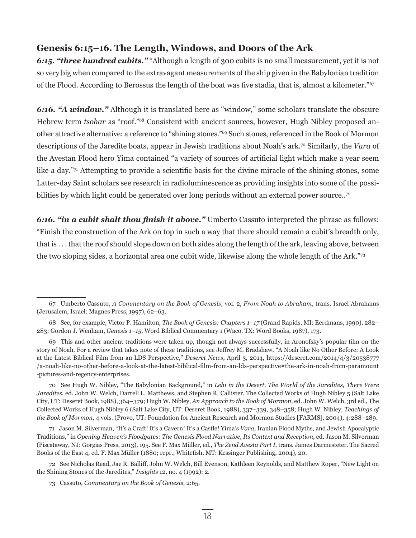## **Genesis 6:15–16. The Length, Windows, and Doors of the Ark**

*6:15. "three hundred cubits."* "Although a length of 300 cubits is no small measurement, yet it is not so very big when compared to the extravagant measurements of the ship given in the Babylonian tradition of the Flood. According to Berossus the length of the boat was five stadia, that is, almost a kilometer."67

*6:16. "A window."* Although it is translated here as "window," some scholars translate the obscure Hebrew term *tsohar* as "roof."<sup>68</sup> Consistent with ancient sources, however, Hugh Nibley proposed another attractive alternative: a reference to "shining stones."69 Such stones, referenced in the Book of Mormon descriptions of the Jaredite boats, appear in Jewish traditions about Noah's ark.70 Similarly, the *Vara* of the Avestan Flood hero Yima contained "a variety of sources of artificial light which make a year seem like a day."<sup>71</sup> Attempting to provide a scientific basis for the divine miracle of the shining stones, some Latter-day Saint scholars see research in radioluminescence as providing insights into some of the possibilities by which light could be generated over long periods without an external power source..<sup>72</sup>

*6:16. "in a cubit shalt thou finish it above."* Umberto Cassuto interpreted the phrase as follows: "Finish the construction of the Ark on top in such a way that there should remain a cubit's breadth only, that is . . . that the roof should slope down on both sides along the length of the ark, leaving above, between the two sloping sides, a horizontal area one cubit wide, likewise along the whole length of the Ark."73

70 See Hugh W. Nibley, "The Babylonian Background," in *Lehi in the Desert, The World of the Jaredites, There Were Jaredites*, ed. John W. Welch, Darrell L. Matthews, and Stephen R. Callister, The Collected Works of Hugh Nibley 5 (Salt Lake City, UT: Deseret Book, 1988), 364–379; Hugh W. Nibley, *An Approach to the Book of Mormon*, ed. John W. Welch, 3rd ed., The Collected Works of Hugh Nibley 6 (Salt Lake City, UT: Deseret Book, 1988), 337–339, 348–358; Hugh W. Nibley, *Teachings of the Book of Mormon*, 4 vols. (Provo, UT: Foundation for Ancient Research and Mormon Studies [FARMS], 2004), 4:288–289.

71 Jason M. Silverman, "It's a Craft! It's a Cavern! It's a Castle! Yima's *Vara*, Iranian Flood Myths, and Jewish Apocalyptic Traditions," in *Opening Heaven's Floodgates: The Genesis Flood Narrative, Its Context and Reception*, ed. Jason M. Silverman (Piscataway, NJ: Gorgias Press, 2013), 195. See F. Max Müller, ed., *The Zend Avesta Part I*, trans. James Darmesteter. The Sacred Books of the East 4*,* ed. F. Max Müller (1880; repr., Whitefish, MT: Kessinger Publishing, 2004), 20.

72 See Nicholas Read, Jae R. Balliff, John W. Welch, Bill Evenson, Kathleen Reynolds, and Matthew Roper, "New Light on the Shining Stones of the Jaredites," *Insights* 12, no. 4 (1992): 2.

73 Cassuto, *Commentary on the Book of Genesis*, 2:65.

<sup>67</sup> Umberto Cassuto, *A Commentary on the Book of Genesis*, vol. 2, *From Noah to Abraham*, trans. Israel Abrahams (Jerusalem, Israel: Magnes Press, 1997), 62–63.

<sup>68</sup> See, for example, Victor P. Hamilton, *The Book of Genesis: Chapters 1–17* (Grand Rapids, MI: Eerdmans, 1990), 282– 283; Gordon J. Wenham, *Genesis 1–15*, Word Biblical Commentary 1 (Waco, TX: Word Books, 1987), 173.

<sup>69</sup> This and other ancient traditions were taken up, though not always successfully, in Aronofsky's popular film on the story of Noah. For a review that takes note of these traditions, see Jeffrey M. Bradshaw, "A Noah like No Other Before: A Look at the Latest Biblical Film from an LDS Perspective," *Deseret News*, April 3, 2014, https://deseret.com/2014/4/3/20538777 /a-noah-like-no-other-before-a-look-at-the-latest-biblical-film-from-an-lds-perspective#the-ark-in-noah-from-paramount -pictures-and-regency-enterprises.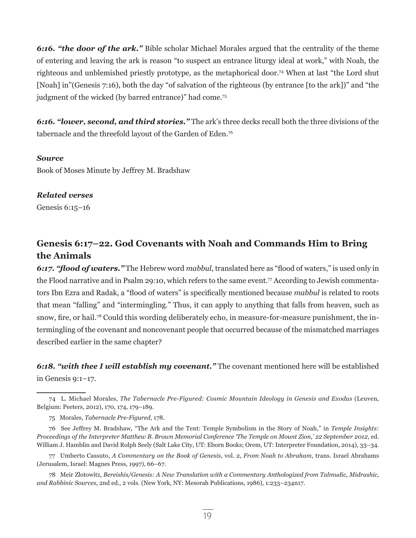*6:16. "the door of the ark."* Bible scholar Michael Morales argued that the centrality of the theme of entering and leaving the ark is reason "to suspect an entrance liturgy ideal at work," with Noah, the righteous and unblemished priestly prototype, as the metaphorical door.74 When at last "the Lord shut [Noah] in"(Genesis 7:16), both the day "of salvation of the righteous (by entrance [to the ark])" and "the judgment of the wicked (by barred entrance)" had come.<sup>75</sup>

*6:16. "lower, second, and third stories."* The ark's three decks recall both the three divisions of the tabernacle and the threefold layout of the Garden of Eden.76

## *Source*

Book of Moses Minute by Jeffrey M. Bradshaw

## *Related verses*

Genesis 6:15–16

## **Genesis 6:17–22. God Covenants with Noah and Commands Him to Bring the Animals**

*6:17. "flood of waters."* The Hebrew word *mabbul*, translated here as "flood of waters," is used only in the Flood narrative and in Psalm 29:10, which refers to the same event.77 According to Jewish commentators Ibn Ezra and Radak, a "flood of waters" is specifically mentioned because *mabbul* is related to roots that mean "falling" and "intermingling." Thus, it can apply to anything that falls from heaven, such as snow, fire, or hail.<sup>78</sup> Could this wording deliberately echo, in measure-for-measure punishment, the intermingling of the covenant and noncovenant people that occurred because of the mismatched marriages described earlier in the same chapter?

*6:18. "with thee I will establish my covenant."* The covenant mentioned here will be established in Genesis 9:1–17.

76 See Jeffrey M. Bradshaw, "The Ark and the Tent: Temple Symbolism in the Story of Noah," in *Temple Insights: Proceedings of the Interpreter Matthew B. Brown Memorial Conference 'The Temple on Mount Zion,' 22 September 2012,* ed. William J. Hamblin and David Rolph Seely (Salt Lake City, UT: Eborn Books; Orem, UT: Interpreter Foundation, 2014), 33–34.

77 Umberto Cassuto, *A Commentary on the Book of Genesis*, vol. 2, *From Noah to Abraham*, trans. Israel Abrahams (Jerusalem, Israel: Magnes Press, 1997), 66–67.

78 Meir Zlotowitz, *Bereishis/Genesis: A New Translation with a Commentary Anthologized from Talmudic, Midrashic, and Rabbinic Sources*, 2nd ed., 2 vols. (New York, NY: Mesorah Publications, 1986), 1:233–234n17.

<sup>74</sup> L. Michael Morales, *The Tabernacle Pre-Figured: Cosmic Mountain Ideology in Genesis and Exodus* (Leuven, Belgium: Peeters, 2012), 170, 174, 179–189.

<sup>75</sup> Morales, *Tabernacle Pre-Figured,* 178.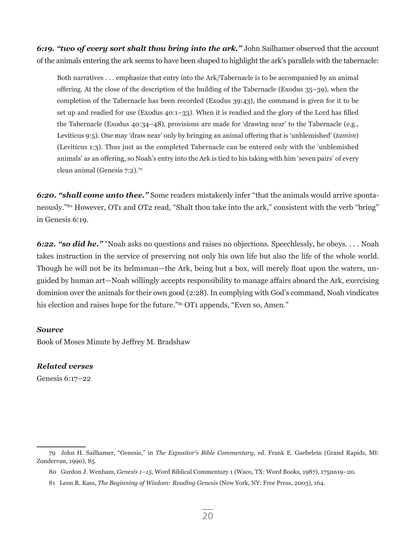*6:19. "two of every sort shalt thou bring into the ark."* John Sailhamer observed that the account of the animals entering the ark seems to have been shaped to highlight the ark's parallels with the tabernacle:

Both narratives . . . emphasize that entry into the Ark/Tabernacle is to be accompanied by an animal offering. At the close of the description of the building of the Tabernacle (Exodus 35–39), when the completion of the Tabernacle has been recorded (Exodus 39:43), the command is given for it to be set up and readied for use (Exodus 40:1–33). When it is readied and the glory of the Lord has filled the Tabernacle (Exodus 40:34–48), provisions are made for 'drawing near' to the Tabernacle (e.g., Leviticus 9:5). One may 'draw near' only by bringing an animal offering that is 'unblemished' (*tamim*) (Leviticus 1:3). Thus just as the completed Tabernacle can be entered only with the 'unblemished animals' as an offering, so Noah's entry into the Ark is tied to his taking with him 'seven pairs' of every clean animal (Genesis 7:2).79

*6:20. "shall come unto thee."* Some readers mistakenly infer "that the animals would arrive spontaneously."80 However, OT1 and OT2 read, "Shalt thou take into the ark," consistent with the verb "bring" in Genesis 6:19.

*6:22. "so did he."* "Noah asks no questions and raises no objections. Speechlessly, he obeys. . . . Noah takes instruction in the service of preserving not only his own life but also the life of the whole world. Though he will not be its helmsman—the Ark, being but a box, will merely float upon the waters, unguided by human art—Noah willingly accepts responsibility to manage affairs aboard the Ark, exercising dominion over the animals for their own good (2:28). In complying with God's command, Noah vindicates his election and raises hope for the future."<sup>81</sup> OT1 appends, "Even so, Amen."

#### *Source*

Book of Moses Minute by Jeffrey M. Bradshaw

## *Related verses*

Genesis 6:17–22

<sup>79</sup> John H. Sailhamer, "Genesis," in *The Expositor's Bible Commentary*, ed. Frank E. Gaebelein (Grand Rapids, MI: Zondervan, 1990), 85.

<sup>80</sup> Gordon J. Wenham, *Genesis 1–15*, Word Biblical Commentary 1 (Waco, TX: Word Books, 1987), 175nn19–20.

<sup>81</sup> Leon R. Kass, *The Beginning of Wisdom: Reading Genesis* (New York, NY: Free Press, 2003), 164.